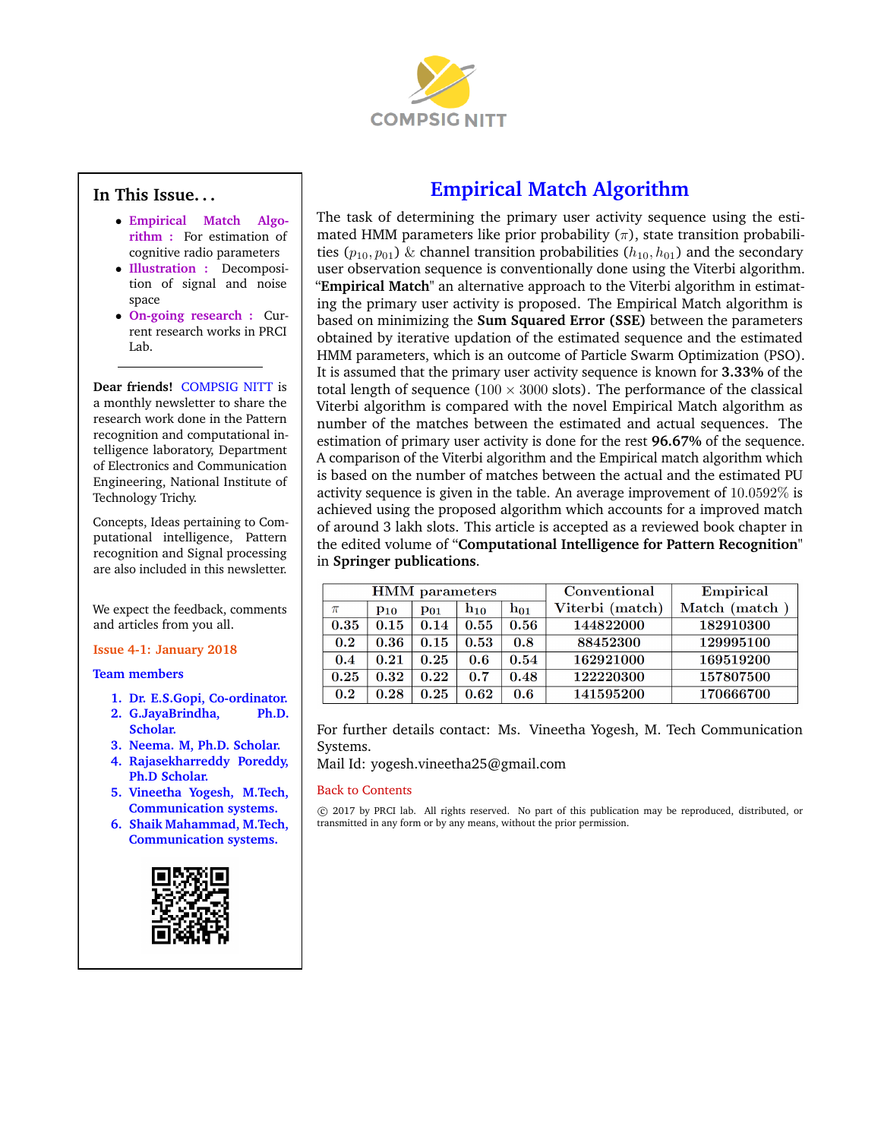

## <span id="page-0-1"></span>**In This Issue. . .**

- **[Empirical Match Algo](#page-0-0)rithm :** [For estimation of](#page-0-0) [cognitive radio parameters](#page-0-0)
- **[Illustration :](#page-1-0)** Decomposi[tion of signal and noise](#page-1-0) [space](#page-1-0)
- **[On-going research :](#page-1-1)** Cur[rent research works in PRCI](#page-1-1) [Lab.](#page-1-1)

**Dear friends!** COMPSIG NITT is a monthly newsletter to share the research work done in the Pattern recognition and computational intelligence laboratory, Department of Electronics and Communication Engineering, National Institute of Technology Trichy.

Concepts, Ideas pertaining to Computational intelligence, Pattern recognition and Signal processing are also included in this newsletter.

We expect the feedback, comments and articles from you all.

### **Issue 4-1: January 2018**

**Team members**

- **1. Dr. E.S.Gopi, Co-ordinator.**
- **2. G.JayaBrindha, Ph.D. Scholar.**
- **3. Neema. M, Ph.D. Scholar.**
- **4. Rajasekharreddy Poreddy, Ph.D Scholar.**
- **5. Vineetha Yogesh, M.Tech, Communication systems.**
- **6. Shaik Mahammad, M.Tech, Communication systems.**



# **Empirical Match Algorithm**

<span id="page-0-0"></span>The task of determining the primary user activity sequence using the estimated HMM parameters like prior probability  $(\pi)$ , state transition probabilities ( $p_{10}, p_{01}$ ) & channel transition probabilities ( $h_{10}, h_{01}$ ) and the secondary user observation sequence is conventionally done using the Viterbi algorithm. "**Empirical Match**" an alternative approach to the Viterbi algorithm in estimating the primary user activity is proposed. The Empirical Match algorithm is based on minimizing the **Sum Squared Error (SSE)** between the parameters obtained by iterative updation of the estimated sequence and the estimated HMM parameters, which is an outcome of Particle Swarm Optimization (PSO). It is assumed that the primary user activity sequence is known for **3.33%** of the total length of sequence ( $100 \times 3000$  slots). The performance of the classical Viterbi algorithm is compared with the novel Empirical Match algorithm as number of the matches between the estimated and actual sequences. The estimation of primary user activity is done for the rest **96.67%** of the sequence. A comparison of the Viterbi algorithm and the Empirical match algorithm which is based on the number of matches between the actual and the estimated PU activity sequence is given in the table. An average improvement of 10.0592% is achieved using the proposed algorithm which accounts for a improved match of around 3 lakh slots. This article is accepted as a reviewed book chapter in the edited volume of "**Computational Intelligence for Pattern Recognition**" in **Springer publications**.

| <b>HMM</b> parameters |          |          |          |                   | Conventional    | Empirical    |
|-----------------------|----------|----------|----------|-------------------|-----------------|--------------|
| π                     | $P_{10}$ | $P_{01}$ | $h_{10}$ | $\mathbf{h_{01}}$ | Viterbi (match) | Match (match |
| 0.35                  | 0.15     | 0.14     | 0.55     | 0.56              | 144822000       | 182910300    |
| 0.2                   | 0.36     | 0.15     | 0.53     | 0.8               | 88452300        | 129995100    |
| 0.4                   | 0.21     | 0.25     | 0.6      | 0.54              | 162921000       | 169519200    |
| 0.25                  | 0.32     | 0.22     | 0.7      | 0.48              | 122220300       | 157807500    |
| 0.2                   | 0.28     | 0.25     | 0.62     | 0.6               | 141595200       | 170666700    |

For further details contact: Ms. Vineetha Yogesh, M. Tech Communication Systems.

Mail Id: yogesh.vineetha25@gmail.com

#### [Back to Contents](#page-0-1)

 c 2017 by PRCI lab. All rights reserved. No part of this publication may be reproduced, distributed, or transmitted in any form or by any means, without the prior permission.